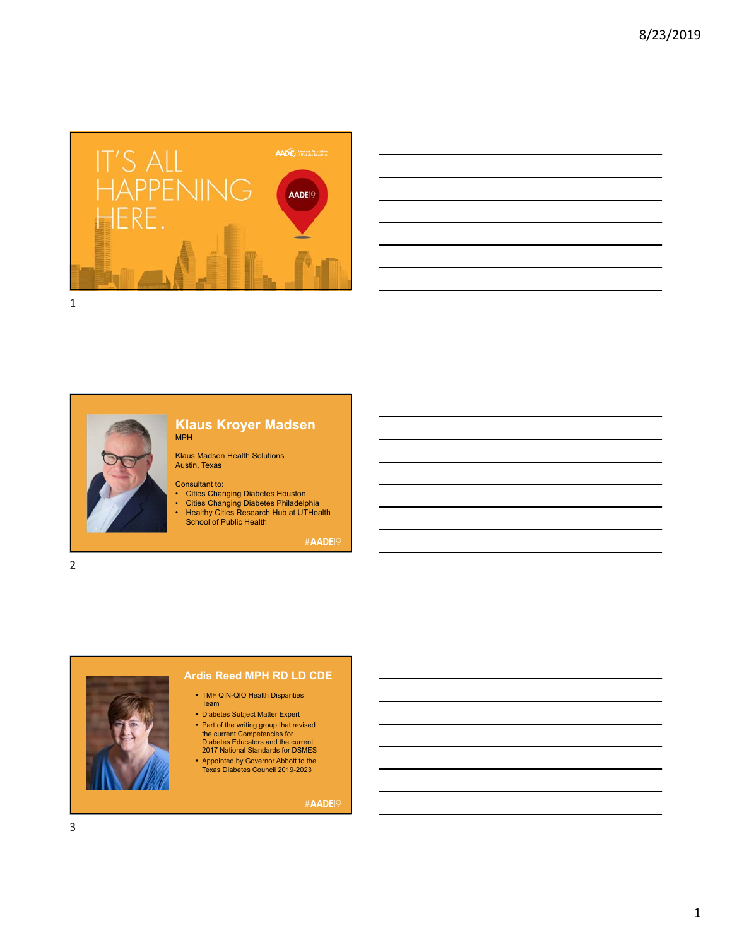

| a series and the contract of the contract of the contract of the contract of the contract of the contract of th       |  |       |
|-----------------------------------------------------------------------------------------------------------------------|--|-------|
| <u> 1989 - Johann Stoff, deutscher Stoffen und der Stoffen und der Stoffen und der Stoffen und der Stoffen und de</u> |  |       |
| <u> 1989 - Andrea Santa Andrea Andrea Andrea Andrea Andrea Andrea Andrea Andrea Andrea Andrea Andrea Andrea Andr</u>  |  | _____ |
|                                                                                                                       |  |       |
| <u> 1989 - Johann Barn, amerikan bernama di sebagai bernama di sebagai bernama di sebagai bernama di sebagai bern</u> |  |       |



### **Klaus Kroyer Madsen** MPH

Klaus Madsen Health Solutions Austin, Texas

#### Consultant to:

- 
- Cities Changing Diabetes Houston Cities Changing Diabetes Philadelphia Healthy Cities Research Hub at UTHealth School of Public Health

#AADE<sup>19</sup>

2



# **Ardis Reed MPH RD LD CDE**

- TMF QIN-QIO Health Disparities Team
- Diabetes Subject Matter Expert • Part of the writing group that revised
- the current Competencies for Diabetes Educators and the current 2017 National Standards for DSMES
- Appointed by Governor Abbott to the Texas Diabetes Council 2019-2023

#AADE<sup>19</sup>

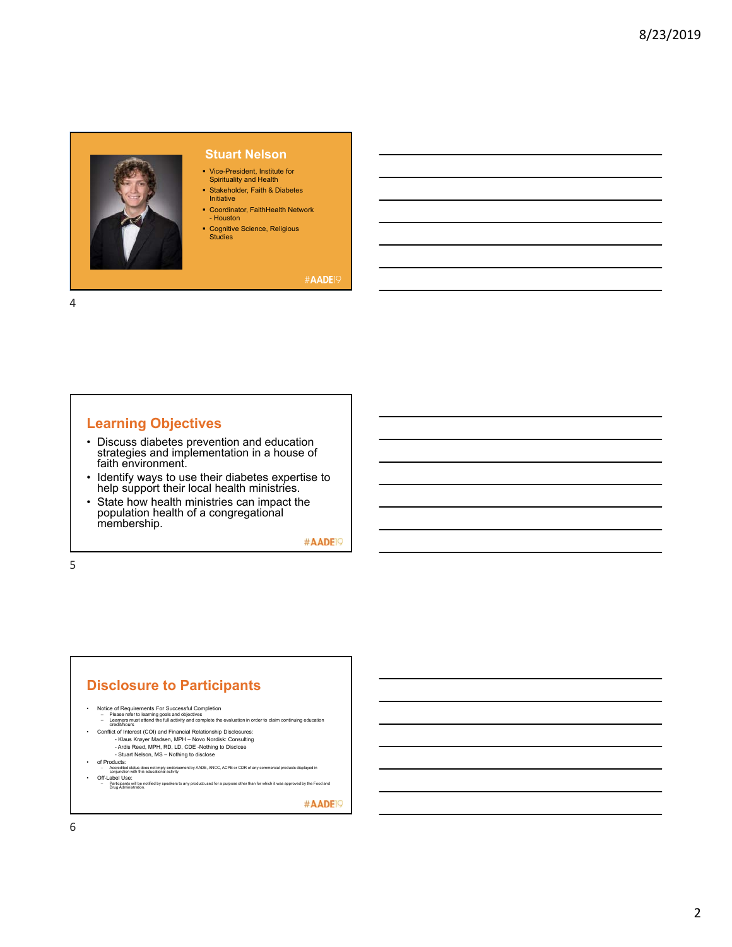

# **Stuart Nelson**

- Vice-President, Institute for Spirituality and Health
- Stakeholder, Faith & Diabetes Initiative
- Coordinator, FaithHealth Network - Houston
- Cognitive Science, Religious Studies

### #AADE<sub>19</sub>

4

# **Learning Objectives**

- Discuss diabetes prevention and education strategies and implementation in a house of faith environment.
- Identify ways to use their diabetes expertise to help support their local health ministries.
- State how health ministries can impact the population health of a congregational membership.

#AADE<sup>19</sup>

5

# **Disclosure to Participants**

- 
- Notice of Requirements For Successful Completion<br>– Please refer to learning goals and objectives<br>– Learners must attend the full activity and complete the evaluation in order to claim continuing education<br>— credit/hours
- Conflict of Interest (COI) and Financial Relationship Disclosures: Klaus Krøyer Madsen, MPH Novo Nordisk: Consulting Ardis Reed, MPH, RD, LD, CDE -Nothing to Disclose
- Stuart Nelson, MS Nothing to disclose
- 
- of Products:<br>– Accredited status does not imply endorsement by AADE, ANCC, ACPE or CDR of any commercial products displayed in<br>– conjunction with this educational activity • Off-Label Use:
- പ്രവശ പാട്ട.<br>- Participants will be notified by speakers to any product used for a purpose other than for which it was approved by the Food and<br>- Drug Administration.

#AADE<sup>19</sup>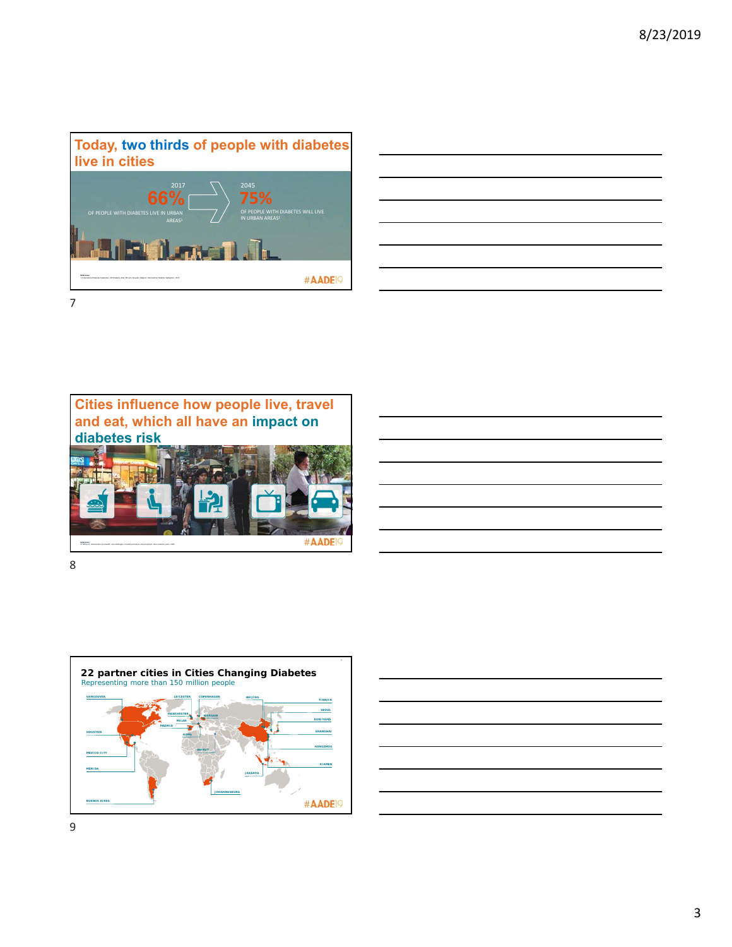







|  |  | <u> 2002 - Jan Barat de Barat de la contrada de la contrada de la contrada de la contrada de la contrada de la c</u>   |  |
|--|--|------------------------------------------------------------------------------------------------------------------------|--|
|  |  | <u> 2002 - Jan Barbara de San Barbara de San Barbara de San Barbara de San Barbara de San Barbara de San Barbara </u>  |  |
|  |  | <u> La componenta de la componenta de la componenta de la componenta de la componenta de la componenta de la compo</u> |  |
|  |  | <u> 1989 - Johann Harry Harry Harry Harry Harry Harry Harry Harry Harry Harry Harry Harry Harry Harry Harry Harry</u>  |  |
|  |  | <u> 1989 - Johann Harry Harry Harry Harry Harry Harry Harry Harry Harry Harry Harry Harry Harry Harry Harry Harry</u>  |  |
|  |  | <u> 2002 - John Harry Harry Harry Harry Harry Harry Harry Harry Harry Harry Harry Harry Harry Harry Harry Harry H</u>  |  |
|  |  | <u> 1989 - Johann Harry Harry Harry Harry Harry Harry Harry Harry Harry Harry Harry Harry Harry Harry Harry Harry</u>  |  |
|  |  |                                                                                                                        |  |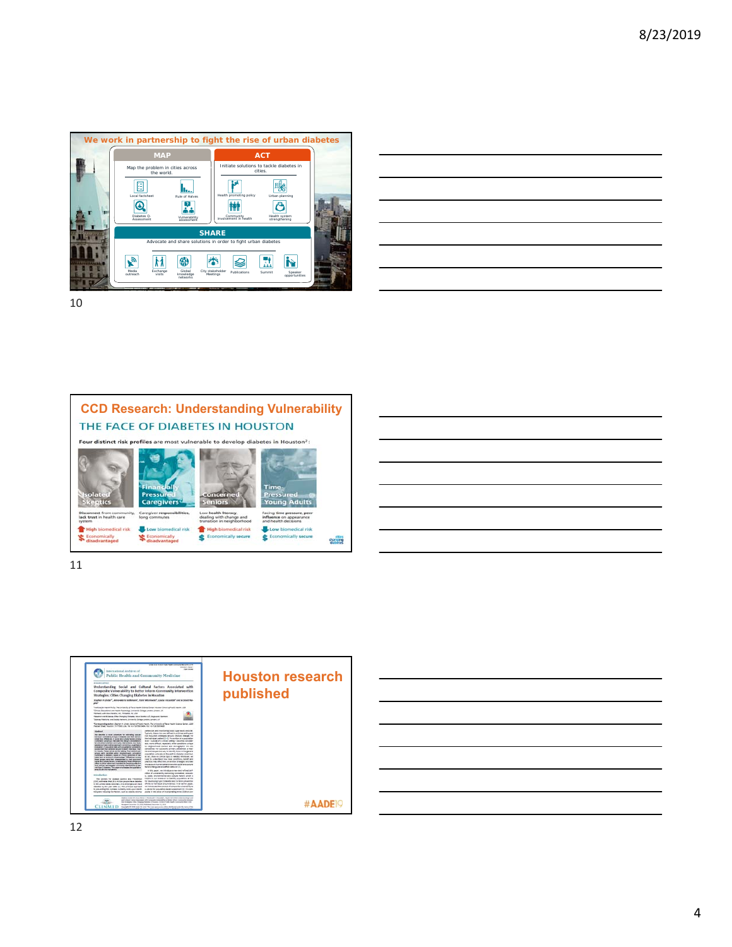









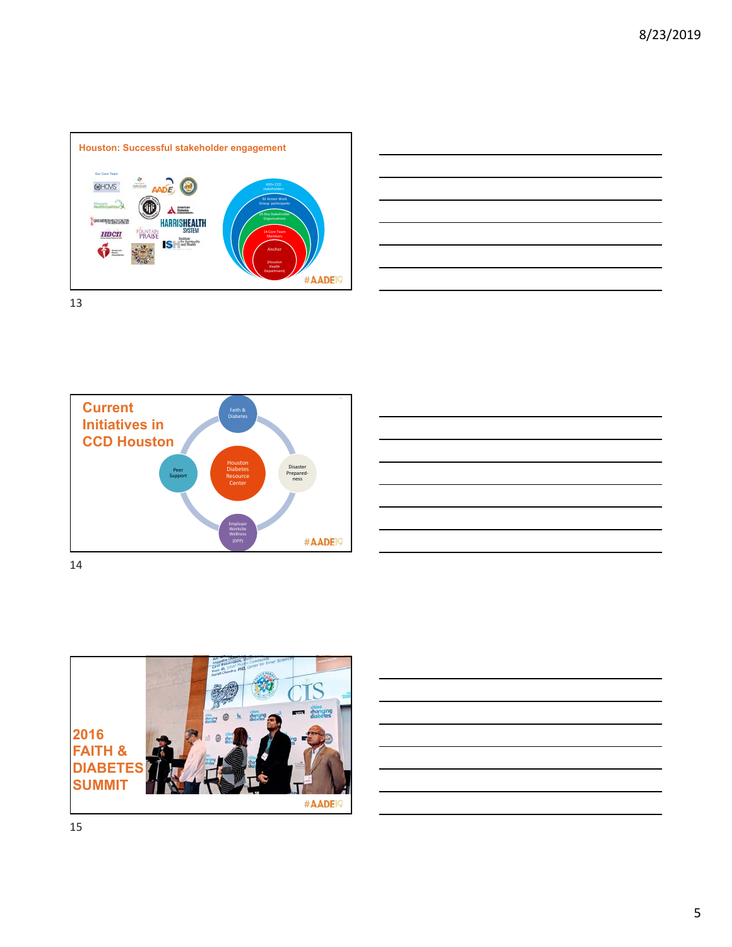







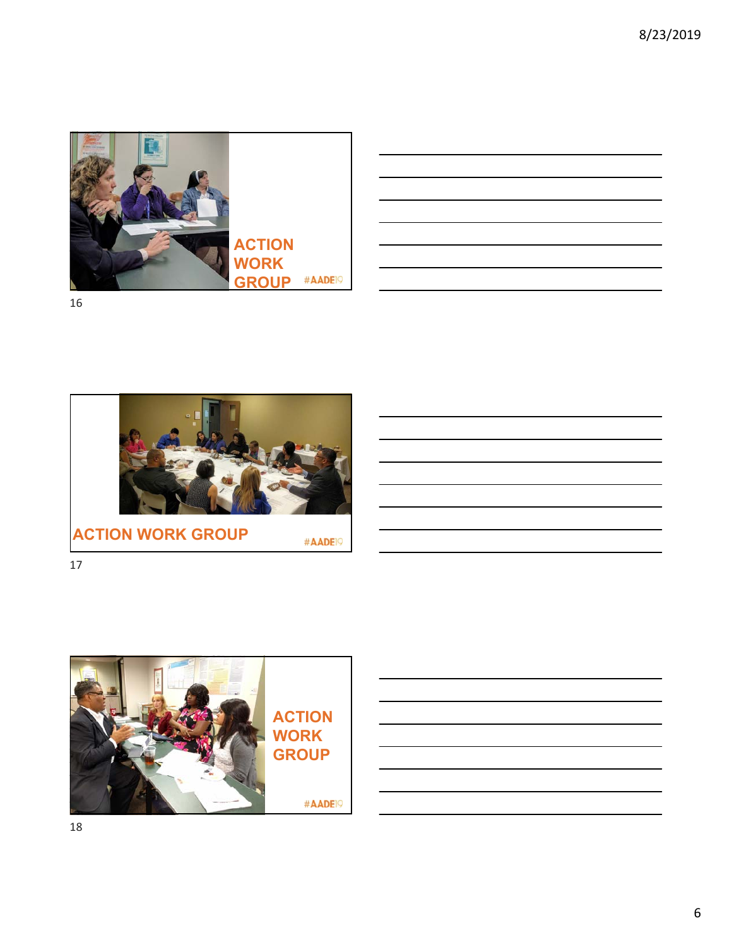

| <u> 1989 - Johann Stoff, deutscher Stoff, der Stoff, der Stoff, der Stoff, der Stoff, der Stoff, der Stoff, der S</u> |  |  |
|-----------------------------------------------------------------------------------------------------------------------|--|--|
|                                                                                                                       |  |  |
| <u> 1989 - Johann Stoff, deutscher Stoff, der Stoff, der Stoff, der Stoff, der Stoff, der Stoff, der Stoff, der S</u> |  |  |
| <u> 1989 - Johann Stoff, deutscher Stoffen und der Stoffen und der Stoffen und der Stoffen und der Stoffen und de</u> |  |  |
| <u> 1989 - Andrea Santa Andrea Andrea Andrea Andrea Andrea Andrea Andrea Andrea Andrea Andrea Andrea Andrea Andr</u>  |  |  |
|                                                                                                                       |  |  |
| <u> 1989 - Andrea Andrew Maria (h. 1989).</u>                                                                         |  |  |
|                                                                                                                       |  |  |



**ACTION WORK GROUP**

#AADE<sup>19</sup>



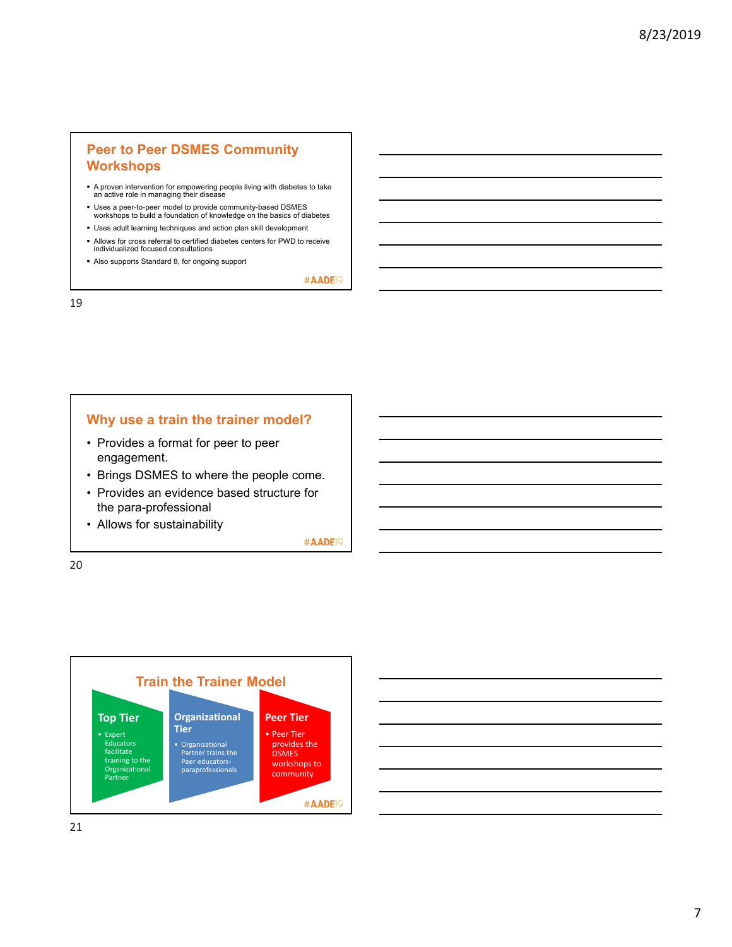# **Peer to Peer DSMES Community Workshops**

- A proven intervention for empowering people living with diabetes to take an active role in managing their disease
- Uses a peer-to-peer model to provide community-based DSMES workshops to build a foundation of knowledge on the basics of diabetes
- Uses adult learning techniques and action plan skill development
- Allows for cross referral to certified diabetes centers for PWD to receive individualized focused consultations
- Also supports Standard 8, for ongoing support

#AADE<sup>19</sup>

19

# **Why use a train the trainer model?**

- Provides a format for peer to peer engagement.
- Brings DSMES to where the people come.
- Provides an evidence based structure for the para-professional
- Allows for sustainability

#AADE<sup>19</sup>



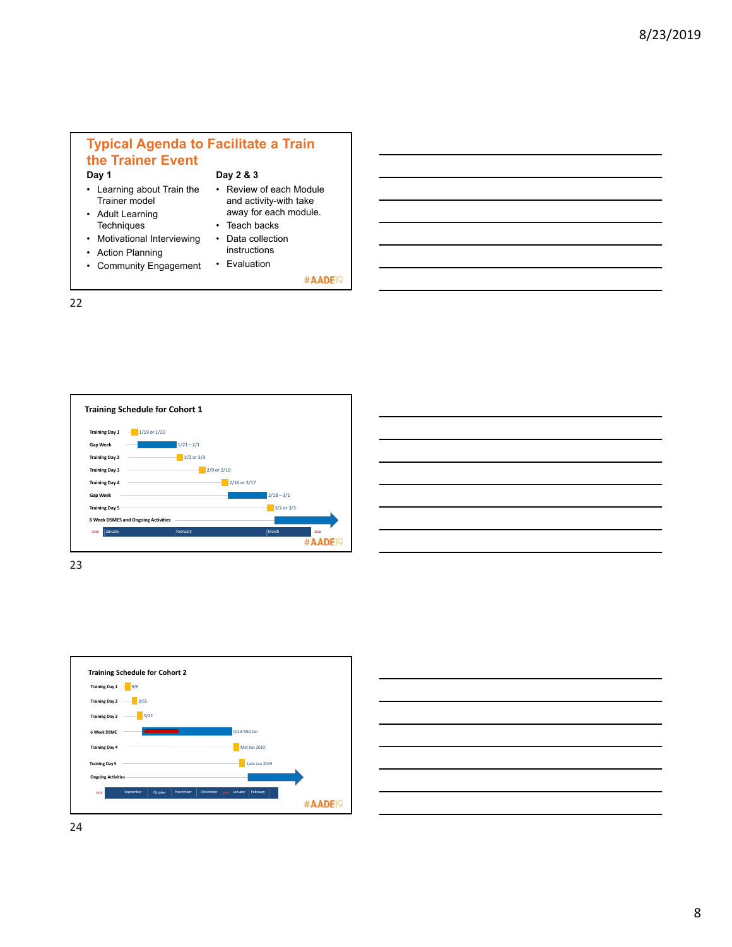# **Typical Agenda to Facilitate a Train the Trainer Event Day 1 Day 2 & 3**

• Learning about Train the Trainer model

• Motivational Interviewing • Action Planning

- Adult Learning **Techniques**
- Review of each Module and activity-with take away for each module. • Teach backs
	- Data collection
	- instructions
- Community Engagement • Evaluation

#AADE<sup>19</sup>

22



| ۰             | ٠ |
|---------------|---|
|               | × |
| I<br>I<br>. . | ÷ |
|               |   |



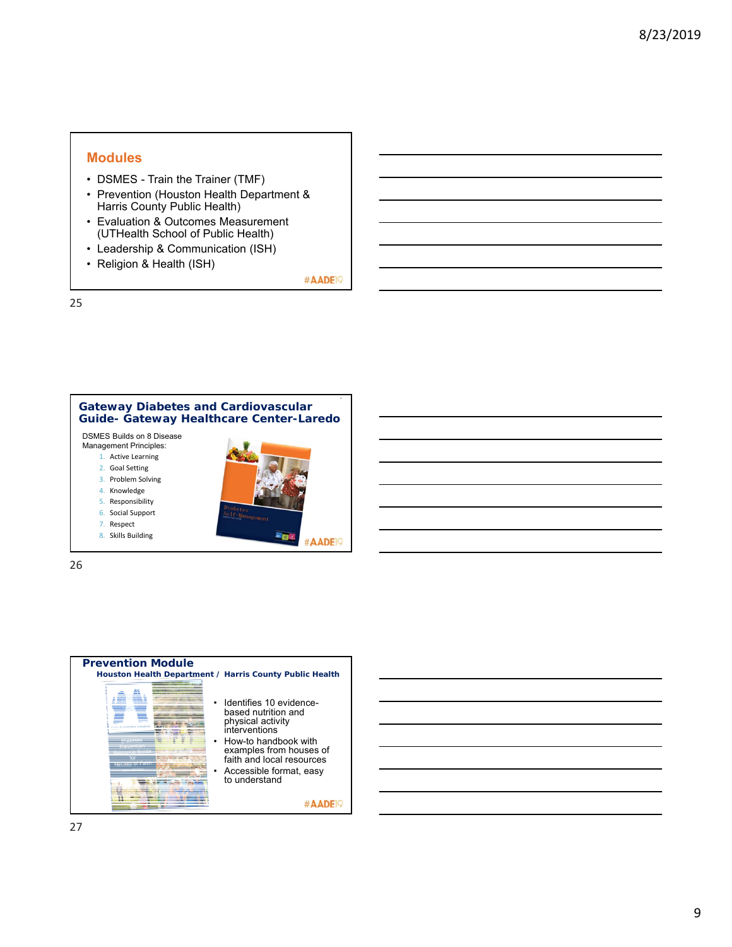# **Modules**

- DSMES Train the Trainer (TMF)
- Prevention (Houston Health Department & Harris County Public Health)
- Evaluation & Outcomes Measurement (UTHealth School of Public Health)
- Leadership & Communication (ISH)
- Religion & Health (ISH)

#AADE<sup>19</sup>

25





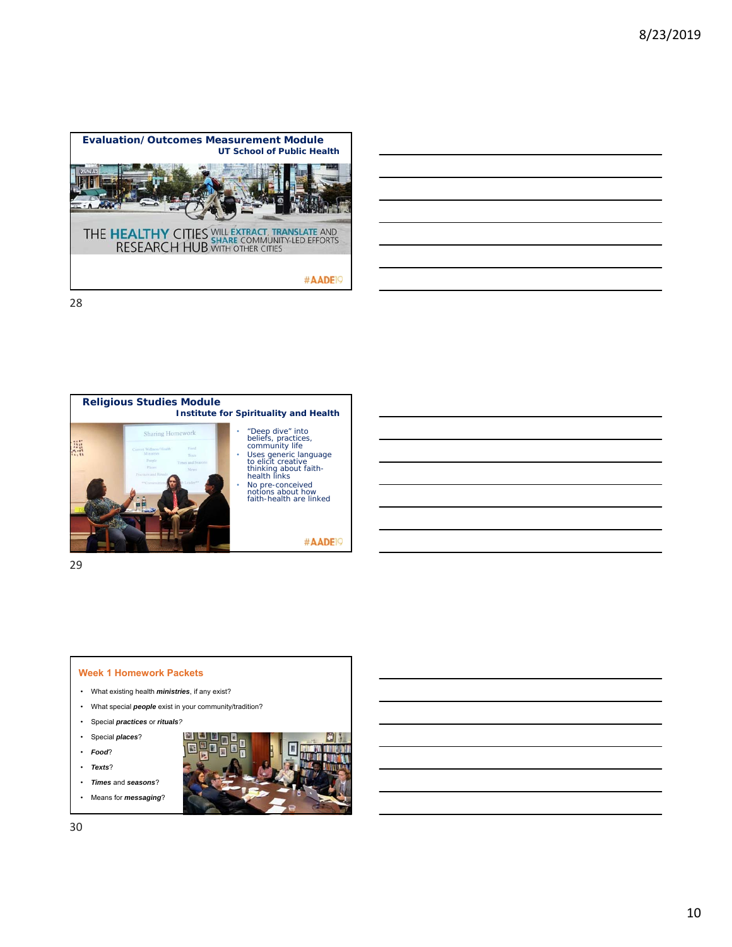



29

#### **Week 1 Homework Packets**

- What existing health *ministries*, if any exist?
- What special *people* exist in your community/tradition?
- Special *practices* or *rituals?*
- Special *places*?
- *Food*?
- *Texts*?
- *Times* and *seasons*?
- Means for *messaging*?

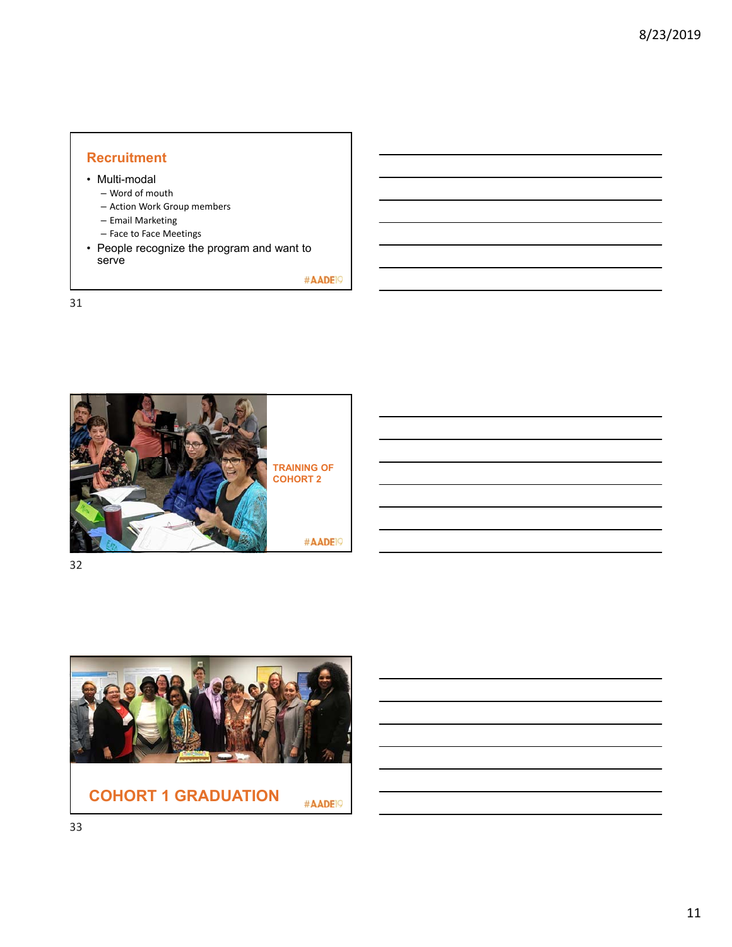# **Recruitment**

- Multi-modal
	- Word of mouth
	- Action Work Group members
	- Email Marketing
	- Face to Face Meetings
- People recognize the program and want to serve

#AADE<sup>19</sup>





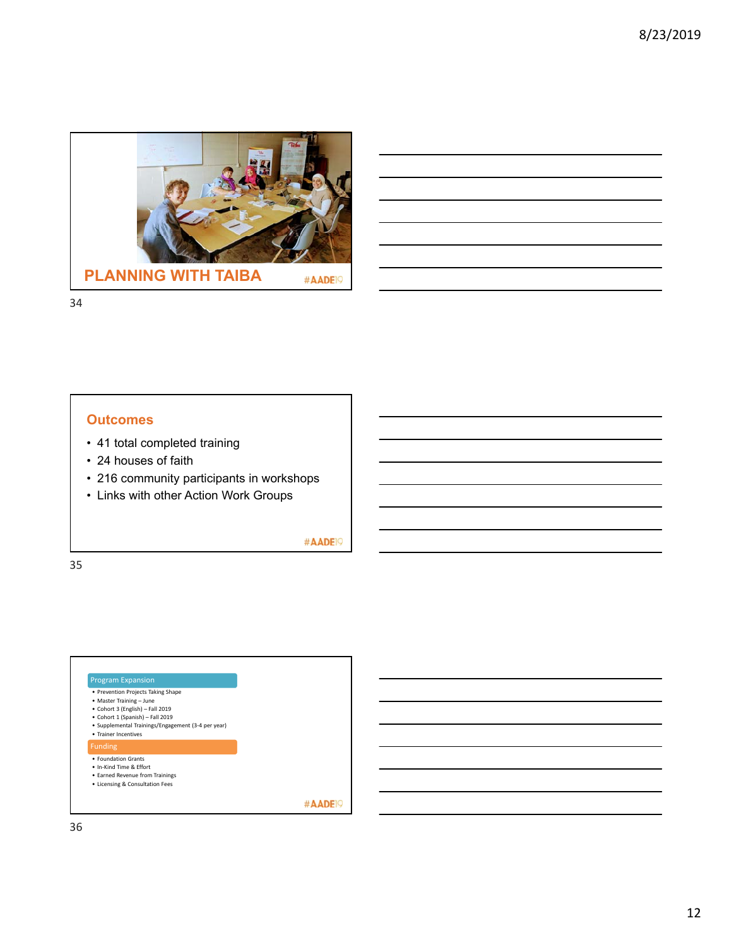

# **Outcomes**

- 41 total completed training
- 24 houses of faith
- 216 community participants in workshops
- Links with other Action Work Groups

#AADE<sup>19</sup>

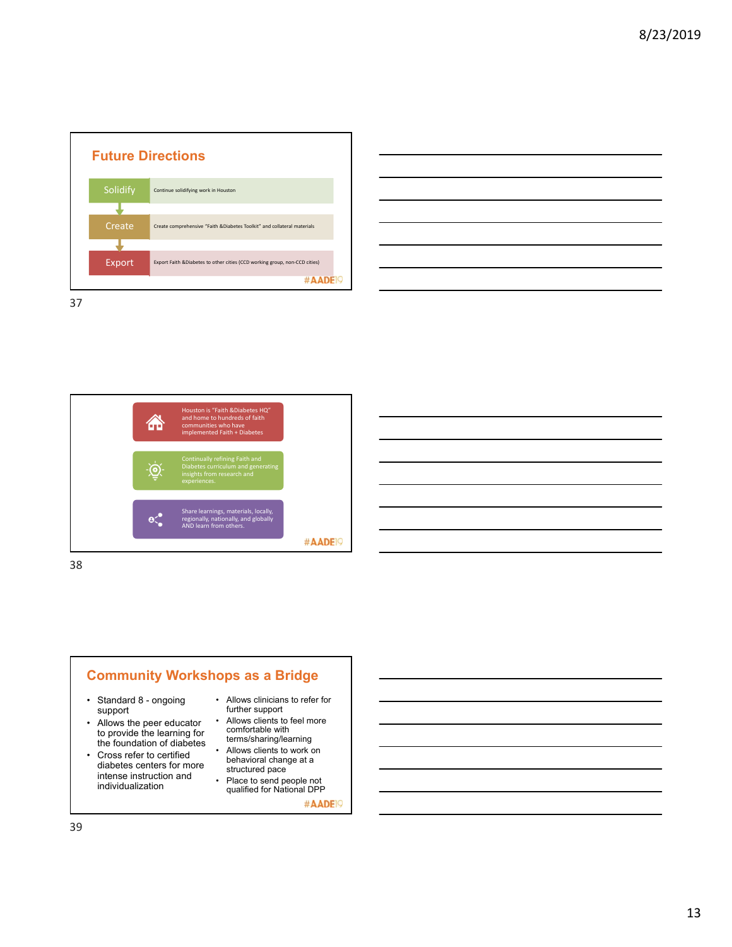

| <u>  La construcción de la construcción de la construcción de la construcción de la construcción de la construcció</u> |  |  |  |
|------------------------------------------------------------------------------------------------------------------------|--|--|--|
|                                                                                                                        |  |  |  |
|                                                                                                                        |  |  |  |
|                                                                                                                        |  |  |  |
|                                                                                                                        |  |  |  |
|                                                                                                                        |  |  |  |
|                                                                                                                        |  |  |  |
|                                                                                                                        |  |  |  |

Houston is "Faith &Diabetes HQ" and home to hundreds of faith 侖 communities who have implemented Faith + Diabetes Continually refining Faith and  $\bigcirc$ **Vision** Share learnings, materials, locally, regionally, nationally, and globally AND learn from others.  $e^{\bullet}$ #AADE<sup>19</sup>

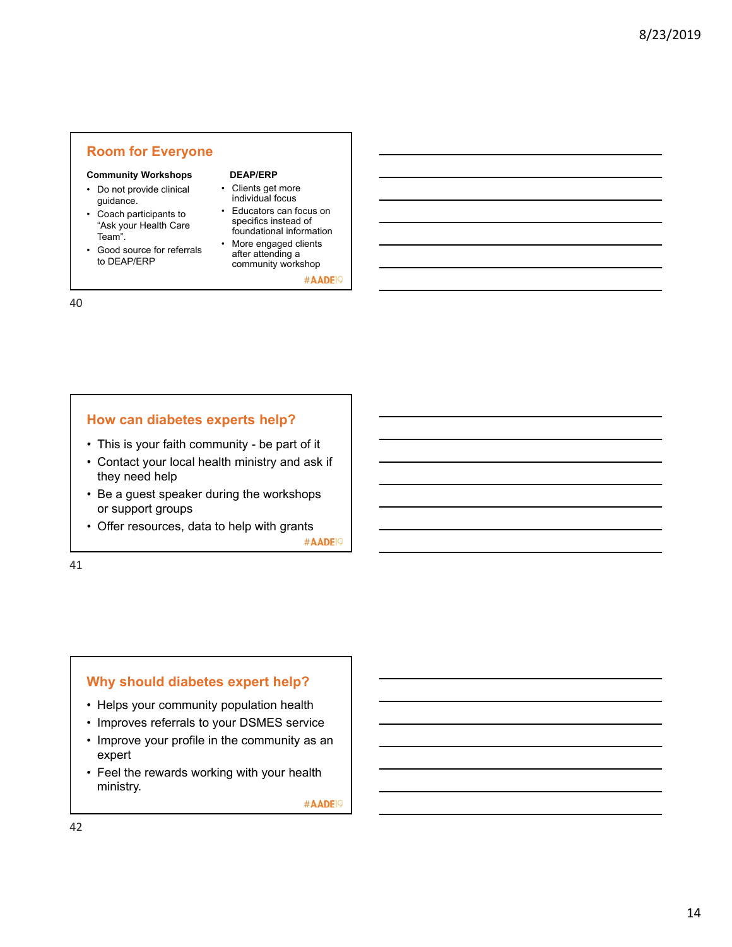# **Room for Everyone**

### **Community Workshops**

- Do not provide clinical guidance.
- Coach participants to "Ask your Health Care Team".
- Good source for referrals to DEAP/ERP

**DEAP/ERP**

- Clients get more individual focus
- Educators can focus on specifics instead of foundational information
- More engaged clients after attending a community workshop

#AADE<sup>19</sup>

40

# **How can diabetes experts help?**

- This is your faith community be part of it
- Contact your local health ministry and ask if they need help
- Be a guest speaker during the workshops or support groups
- Offer resources, data to help with grants

#AADE<sub>19</sub>

41

# **Why should diabetes expert help?**

- Helps your community population health
- Improves referrals to your DSMES service
- Improve your profile in the community as an expert
- Feel the rewards working with your health ministry.

#AADE<sup>19</sup>